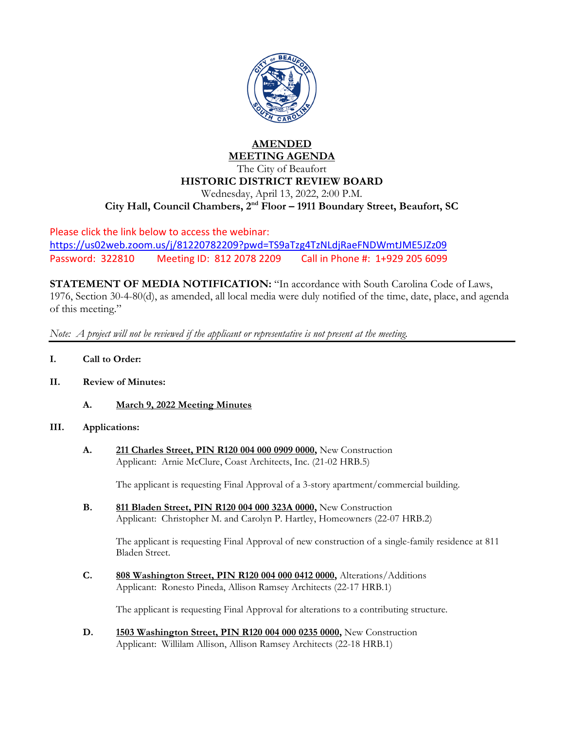

## **AMENDED MEETING AGENDA**

The City of Beaufort **HISTORIC DISTRICT REVIEW BOARD** Wednesday, April 13, 2022, 2:00 P.M. **City Hall, Council Chambers, 2nd Floor – 1911 Boundary Street, Beaufort, SC**

Please click the link below to access the webinar: <https://us02web.zoom.us/j/81220782209?pwd=TS9aTzg4TzNLdjRaeFNDWmtJME5JZz09> Password: 322810 Meeting ID: 812 2078 2209 Call in Phone #: 1+929 205 6099

**STATEMENT OF MEDIA NOTIFICATION:** "In accordance with South Carolina Code of Laws, 1976, Section 30-4-80(d), as amended, all local media were duly notified of the time, date, place, and agenda of this meeting."

*Note: A project will not be reviewed if the applicant or representative is not present at the meeting.*

- **I. Call to Order:**
- **II. Review of Minutes:**
	- **A. March 9, 2022 Meeting Minutes**

## **III. Applications:**

**A. 211 Charles Street, PIN R120 004 000 0909 0000,** New Construction Applicant: Arnie McClure, Coast Architects, Inc. (21-02 HRB.5)

The applicant is requesting Final Approval of a 3-story apartment/commercial building.

**B. 811 Bladen Street, PIN R120 004 000 323A 0000,** New Construction Applicant: Christopher M. and Carolyn P. Hartley, Homeowners (22-07 HRB.2)

The applicant is requesting Final Approval of new construction of a single-family residence at 811 Bladen Street.

**C. 808 Washington Street, PIN R120 004 000 0412 0000,** Alterations/Additions Applicant: Ronesto Pineda, Allison Ramsey Architects (22-17 HRB.1)

The applicant is requesting Final Approval for alterations to a contributing structure.

**D. 1503 Washington Street, PIN R120 004 000 0235 0000,** New Construction Applicant: Willilam Allison, Allison Ramsey Architects (22-18 HRB.1)